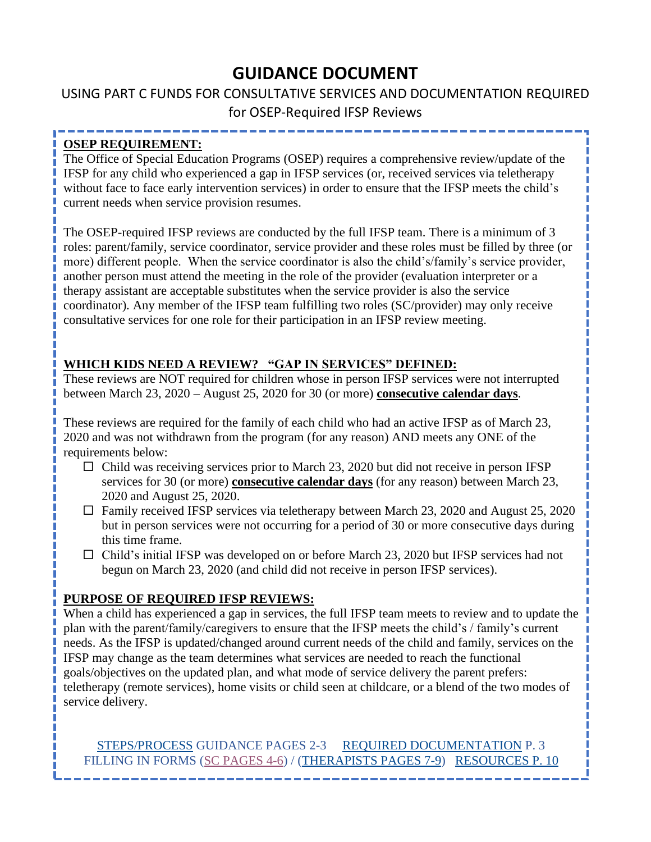# **GUIDANCE DOCUMENT**

## <span id="page-0-0"></span>USING PART C FUNDS FOR CONSULTATIVE SERVICES AND DOCUMENTATION REQUIRED for OSEP-Required IFSP Reviews

## **OSEP REQUIREMENT:**

The Office of Special Education Programs (OSEP) requires a comprehensive review/update of the IFSP for any child who experienced a gap in IFSP services (or, received services via teletherapy without face to face early intervention services) in order to ensure that the IFSP meets the child's current needs when service provision resumes.

The OSEP-required IFSP reviews are conducted by the full IFSP team. There is a minimum of 3 roles: parent/family, service coordinator, service provider and these roles must be filled by three (or more) different people. When the service coordinator is also the child's/family's service provider, another person must attend the meeting in the role of the provider (evaluation interpreter or a therapy assistant are acceptable substitutes when the service provider is also the service coordinator). Any member of the IFSP team fulfilling two roles (SC/provider) may only receive consultative services for one role for their participation in an IFSP review meeting.

## **WHICH KIDS NEED A REVIEW? "GAP IN SERVICES" DEFINED:**

These reviews are NOT required for children whose in person IFSP services were not interrupted between March 23, 2020 – August 25, 2020 for 30 (or more) **consecutive calendar days**.

These reviews are required for the family of each child who had an active IFSP as of March 23, 2020 and was not withdrawn from the program (for any reason) AND meets any ONE of the requirements below:

- $\Box$  Child was receiving services prior to March 23, 2020 but did not receive in person IFSP services for 30 (or more) **consecutive calendar days** (for any reason) between March 23, 2020 and August 25, 2020.
- $\Box$  Family received IFSP services via teletherapy between March 23, 2020 and August 25, 2020 but in person services were not occurring for a period of 30 or more consecutive days during this time frame.
- $\Box$  Child's initial IFSP was developed on or before March 23, 2020 but IFSP services had not begun on March 23, 2020 (and child did not receive in person IFSP services).

## **PURPOSE OF REQUIRED IFSP REVIEWS:**

When a child has experienced a gap in services, the full IFSP team meets to review and to update the plan with the parent/family/caregivers to ensure that the IFSP meets the child's / family's current needs. As the IFSP is updated/changed around current needs of the child and family, services on the IFSP may change as the team determines what services are needed to reach the functional goals/objectives on the updated plan, and what mode of service delivery the parent prefers: teletherapy (remote services), home visits or child seen at childcare, or a blend of the two modes of service delivery.

[STEPS/PROCESS](#page-1-0) GUIDANCE PAGES 2-3 [REQUIRED DOCUMENTATION](#page-2-0) P. 3 FILLING IN FORMS [\(SC PAGES 4-6\)](#page-3-0) / [\(THERAPISTS PAGES 7-9\)](#page-6-0) [RESOURCES P. 10](#page-9-0)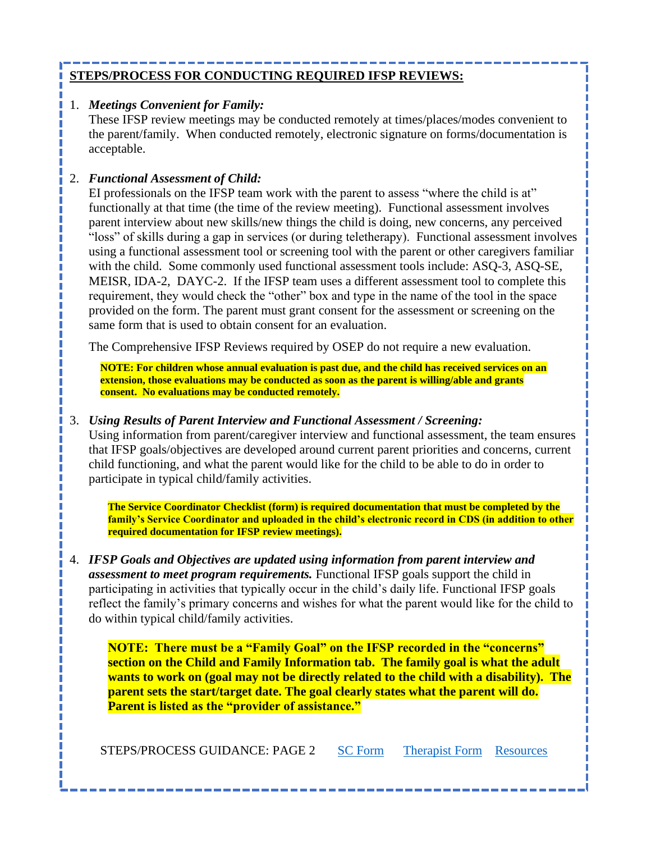## <span id="page-1-0"></span>**STEPS/PROCESS FOR CONDUCTING REQUIRED IFSP REVIEWS:**

### 1. *Meetings Convenient for Family:*

These IFSP review meetings may be conducted remotely at times/places/modes convenient to the parent/family. When conducted remotely, electronic signature on forms/documentation is acceptable.

## 2. *Functional Assessment of Child:*

EI professionals on the IFSP team work with the parent to assess "where the child is at" functionally at that time (the time of the review meeting). Functional assessment involves parent interview about new skills/new things the child is doing, new concerns, any perceived "loss" of skills during a gap in services (or during teletherapy). Functional assessment involves using a functional assessment tool or screening tool with the parent or other caregivers familiar with the child. Some commonly used functional assessment tools include: ASO-3, ASO-SE, MEISR, IDA-2, DAYC-2. If the IFSP team uses a different assessment tool to complete this requirement, they would check the "other" box and type in the name of the tool in the space provided on the form. The parent must grant consent for the assessment or screening on the same form that is used to obtain consent for an evaluation.

The Comprehensive IFSP Reviews required by OSEP do not require a new evaluation.

**NOTE: For children whose annual evaluation is past due, and the child has received services on an extension, those evaluations may be conducted as soon as the parent is willing/able and grants consent. No evaluations may be conducted remotely.**

### 3. *Using Results of Parent Interview and Functional Assessment / Screening:*

Using information from parent/caregiver interview and functional assessment, the team ensures that IFSP goals/objectives are developed around current parent priorities and concerns, current child functioning, and what the parent would like for the child to be able to do in order to participate in typical child/family activities.

**The Service Coordinator Checklist (form) is required documentation that must be completed by the family's Service Coordinator and uploaded in the child's electronic record in CDS (in addition to other required documentation for IFSP review meetings).**

4. *IFSP Goals and Objectives are updated using information from parent interview and assessment to meet program requirements.* Functional IFSP goals support the child in participating in activities that typically occur in the child's daily life. Functional IFSP goals reflect the family's primary concerns and wishes for what the parent would like for the child to do within typical child/family activities.

**NOTE: There must be a "Family Goal" on the IFSP recorded in the "concerns" section on the Child and Family Information tab. The family goal is what the adult wants to work on (goal may not be directly related to the child with a disability). The parent sets the start/target date. The goal clearly states what the parent will do. Parent is listed as the "provider of assistance."**

STEPS/PROCESS GUIDANCE: PAGE 2 [SC Form](#page-3-0) [Therapist Form](#page-6-0) [Resources](#page-9-0)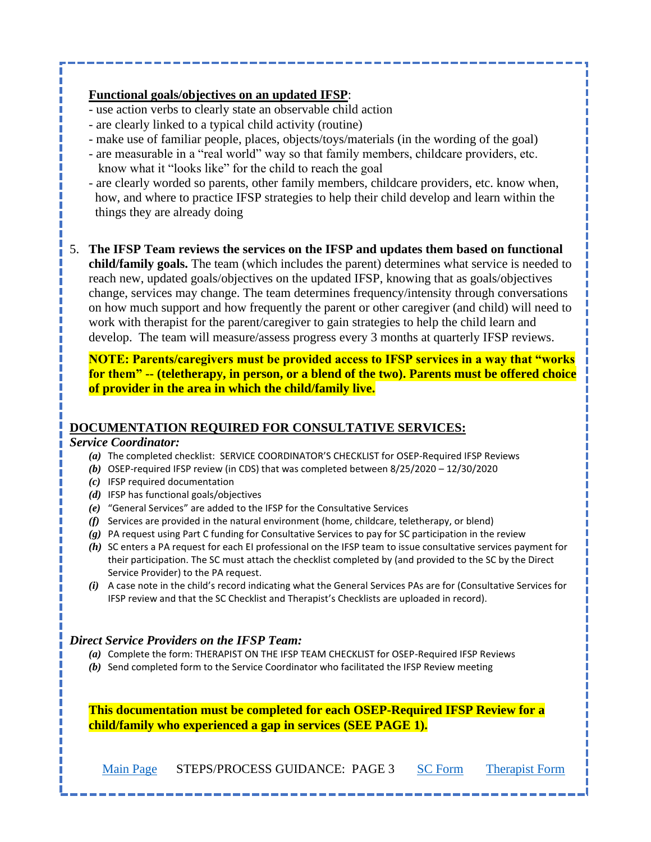### **Functional goals/objectives on an updated IFSP**:

- use action verbs to clearly state an observable child action
- are clearly linked to a typical child activity (routine)
- make use of familiar people, places, objects/toys/materials (in the wording of the goal)
- are measurable in a "real world" way so that family members, childcare providers, etc. know what it "looks like" for the child to reach the goal
- are clearly worded so parents, other family members, childcare providers, etc. know when, how, and where to practice IFSP strategies to help their child develop and learn within the things they are already doing
- 5. **The IFSP Team reviews the services on the IFSP and updates them based on functional child/family goals.** The team (which includes the parent) determines what service is needed to reach new, updated goals/objectives on the updated IFSP, knowing that as goals/objectives change, services may change. The team determines frequency/intensity through conversations on how much support and how frequently the parent or other caregiver (and child) will need to work with therapist for the parent/caregiver to gain strategies to help the child learn and develop. The team will measure/assess progress every 3 months at quarterly IFSP reviews.

**NOTE: Parents/caregivers must be provided access to IFSP services in a way that "works for them" -- (teletherapy, in person, or a blend of the two). Parents must be offered choice of provider in the area in which the child/family live.**

### <span id="page-2-0"></span>**DOCUMENTATION REQUIRED FOR CONSULTATIVE SERVICES:**

### *Service Coordinator:*

- *(a)* The completed checklist: SERVICE COORDINATOR'S CHECKLIST for OSEP-Required IFSP Reviews
- *(b)* OSEP-required IFSP review (in CDS) that was completed between 8/25/2020 12/30/2020
- *(c)* IFSP required documentation
- *(d)* IFSP has functional goals/objectives
- *(e)* "General Services" are added to the IFSP for the Consultative Services
- *(f)* Services are provided in the natural environment (home, childcare, teletherapy, or blend)
- *(g)* PA request using Part C funding for Consultative Services to pay for SC participation in the review
- *(h)* SC enters a PA request for each EI professional on the IFSP team to issue consultative services payment for their participation. The SC must attach the checklist completed by (and provided to the SC by the Direct Service Provider) to the PA request.
- *(i)* A case note in the child's record indicating what the General Services PAs are for (Consultative Services for IFSP review and that the SC Checklist and Therapist's Checklists are uploaded in record).

### *Direct Service Providers on the IFSP Team:*

- *(a)* Complete the form: THERAPIST ON THE IFSP TEAM CHECKLIST for OSEP-Required IFSP Reviews
- *(b)* Send completed form to the Service Coordinator who facilitated the IFSP Review meeting

**This documentation must be completed for each OSEP-Required IFSP Review for a child/family who experienced a gap in services (SEE PAGE 1).**

[Main Page](#page-0-0) STEPS/PROCESS GUIDANCE: PAGE 3 [SC Form](#page-3-0) [Therapist Form](#page-6-0)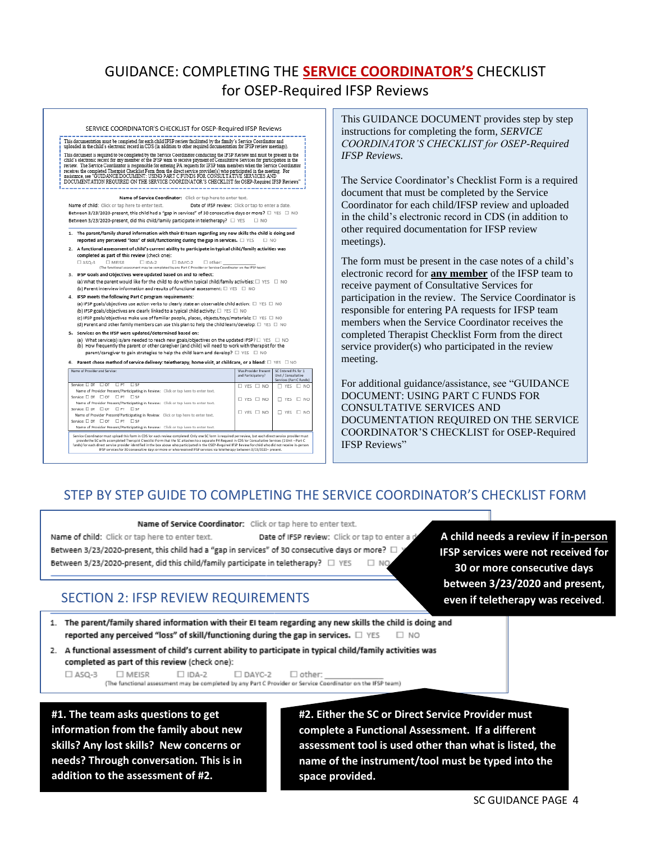# GUIDANCE: COMPLETING THE **SERVICE COORDINATOR'S** CHECKLIST for OSEP-Required IFSP Reviews



| Name of Provider and Service:                                                                                                                                                                                                                                                                                         | Was Provider Present<br>and Participatory? | SC Entered PA for :<br>Unit / Consultative<br>Services (Part C Funds) |
|-----------------------------------------------------------------------------------------------------------------------------------------------------------------------------------------------------------------------------------------------------------------------------------------------------------------------|--------------------------------------------|-----------------------------------------------------------------------|
| Service: $\square$ DT $\square$ OT<br>$\Box$ SP<br>$\Box$ PT                                                                                                                                                                                                                                                          | $\Box$ YES $\Box$ NO                       | $\Box$ YES $\Box$ NO                                                  |
| Name of Provider Present/Participating in Review: Click or tap here to enter text.                                                                                                                                                                                                                                    |                                            |                                                                       |
| Service: $\square$ DT $\square$ OT<br>$\Box$ SP<br>$\Box$ PT                                                                                                                                                                                                                                                          | $\Box$ YES $\Box$ NO                       | $\Box$ YES $\Box$ NO                                                  |
| Name of Provider Present/Participating in Review: Click or tap here to enter text.                                                                                                                                                                                                                                    |                                            |                                                                       |
| Service: □ DT □ OT □ PT □ SP                                                                                                                                                                                                                                                                                          | $\Box$ YES $\Box$ NO                       | $\Box$ YES $\Box$ NO                                                  |
| Name of Provider Present/Participating in Review: Click or tap here to enter text.                                                                                                                                                                                                                                    |                                            |                                                                       |
| Service: □ DT □ OT □ PT □ SP                                                                                                                                                                                                                                                                                          |                                            |                                                                       |
| Name of Provider Present/Participating in Review: Click or tap here to enter text.                                                                                                                                                                                                                                    |                                            |                                                                       |
| Service Coordinator must upload this form in CDS for each review completed. Only one SC form is required per review, but each direct service provider must<br>woulde the CC with a completed Thermier Checkler Corp. that the SC attacher to a concerne DA Register in CDC for Considering Camigan (1) Hair - Root C. |                                            |                                                                       |

provide use of the state of the providence of the state of the state of the state of the state of the state of<br>India, or the state of the box above who participated in the OSEP-Required IFSP Review for child who did not re

<span id="page-3-0"></span>This GUIDANCE DOCUMENT provides step by step instructions for completing the form, *SERVICE COORDINATOR'S CHECKLIST for OSEP-Required IFSP Reviews.* 

The Service Coordinator's Checklist Form is a required document that must be completed by the Service Coordinator for each child/IFSP review and uploaded in the child's electronic record in CDS (in addition to other required documentation for IFSP review meetings).

The form must be present in the case notes of a child's electronic record for **any member** of the IFSP team to receive payment of Consultative Services for participation in the review. The Service Coordinator is responsible for entering PA requests for IFSP team members when the Service Coordinator receives the completed Therapist Checklist Form from the direct service provider(s) who participated in the review meeting.

For additional guidance/assistance, see "GUIDANCE DOCUMENT: USING PART C FUNDS FOR CONSULTATIVE SERVICES AND DOCUMENTATION REQUIRED ON THE SERVICE COORDINATOR'S CHECKLIST for OSEP-Required IFSP Reviews"

## STEP BY STEP GUIDE TO COMPLETING THE SERVICE COORDINATOR'S CHECKLIST FORM

Name of Service Coordinator: Click or tap here to enter text.

Name of child: Click or tap here to enter text. Date of IFSP review: Click or tap to enter a Between 3/23/2020-present, this child had a "gap in services" of 30 consecutive days or more?

Between 3/23/2020-present, did this child/family participate in teletherapy?  $\Box$  YES  $\Box$  NO

# SECTION 2: IFSP REVIEW REQUIREMENTS

**A child needs a review if in-person IFSP services were not received for 30 or more consecutive days between 3/23/2020 and present, even if teletherapy was received**.

- 1. The parent/family shared information with their EI team regarding any new skills the child is doing and reported any perceived "loss" of skill/functioning during the gap in services.  $\Box$  YES  $\Box$  NO
- 2. A functional assessment of child's current ability to participate in typical child/family activities was completed as part of this review (check one):

 $\square$  IDA-2  $\Box$  ASO-3 **OMEISR**  $\Box$  DAYC-2  $\Box$  other: (The functional assessment may be completed by any Part C Provider or Service Coordinator on the IFSP team)

**#1. The team asks questions to get information from the family about new skills? Any lost skills? New concerns or needs? Through conversation. This is in addition to the assessment of #2.**

**#2. Either the SC or Direct Service Provider must complete a Functional Assessment. If a different assessment tool is used other than what is listed, the name of the instrument/tool must be typed into the space provided.**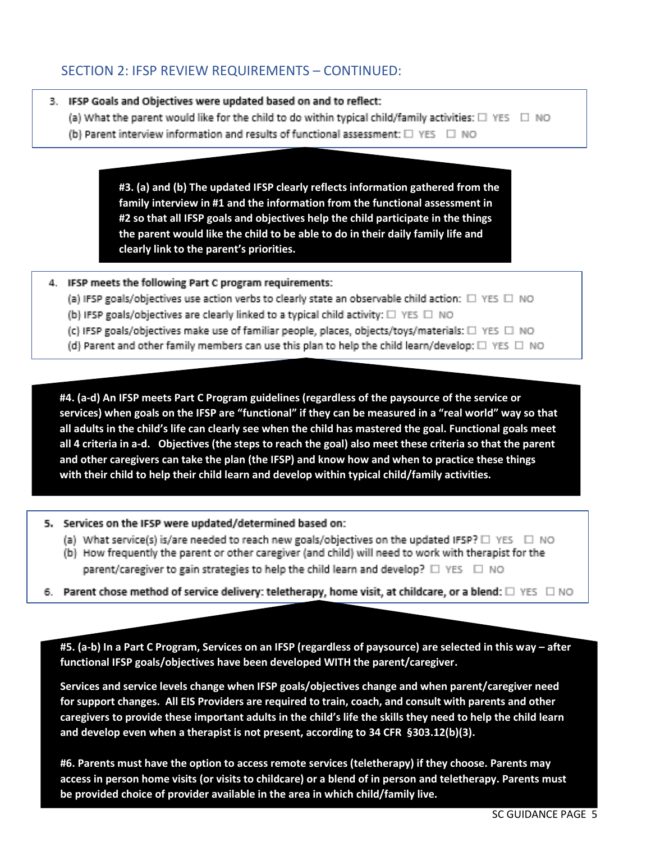## SECTION 2: IFSP REVIEW REQUIREMENTS – CONTINUED:

#### 3. IFSP Goals and Objectives were updated based on and to reflect:

- (a) What the parent would like for the child to do within typical child/family activities:  $\square$  YES  $\square$  NO
- (b) Parent interview information and results of functional assessment: □ YES □ NO

**#3. (a) and (b) The updated IFSP clearly reflects information gathered from the family interview in #1 and the information from the functional assessment in #2 so that all IFSP goals and objectives help the child participate in the things the parent would like the child to be able to do in their daily family life and clearly link to the parent's priorities.**

#### 4. IFSP meets the following Part C program requirements:

- (a) IFSP goals/objectives use action verbs to clearly state an observable child action:  $\square$  YES  $\square$  NO
- (b) IFSP goals/objectives are clearly linked to a typical child activity:  $\square$  YES  $\square$  NO
- (c) IFSP goals/objectives make use of familiar people, places, objects/toys/materials: □ YES □ NO
- (d) Parent and other family members can use this plan to help the child learn/develop: □ YES □ NO

**#4. (a-d) An IFSP meets Part C Program guidelines (regardless of the paysource of the service or services) when goals on the IFSP are "functional" if they can be measured in a "real world" way so that all adults in the child's life can clearly see when the child has mastered the goal. Functional goals meet all 4 criteria in a-d. Objectives (the steps to reach the goal) also meet these criteria so that the parent and other caregivers can take the plan (the IFSP) and know how and when to practice these things with their child to help their child learn and develop within typical child/family activities.**

5. Services on the IFSP were updated/determined based on:

- (a) What service(s) is/are needed to reach new goals/objectives on the updated IFSP?  $\square$  YES  $\square$  NO
- (b) How frequently the parent or other caregiver (and child) will need to work with therapist for the parent/caregiver to gain strategies to help the child learn and develop?  $\square$  YES  $\square$  NO
- 6. Parent chose method of service delivery: teletherapy, home visit, at childcare, or a blend:  $\square$  YES  $\square$  NO

**#5. (a-b) In a Part C Program, Services on an IFSP (regardless of paysource) are selected in this way – after functional IFSP goals/objectives have been developed WITH the parent/caregiver.** 

**Services and service levels change when IFSP goals/objectives change and when parent/caregiver need for support changes. All EIS Providers are required to train, coach, and consult with parents and other caregivers to provide these important adults in the child's life the skills they need to help the child learn and develop even when a therapist is not present, according to 34 CFR §303.12(b)(3).**

**#6. Parents must have the option to access remote services (teletherapy) if they choose. Parents may access in person home visits (or visits to childcare) or a blend of in person and teletherapy. Parents must be provided choice of provider available in the area in which child/family live.**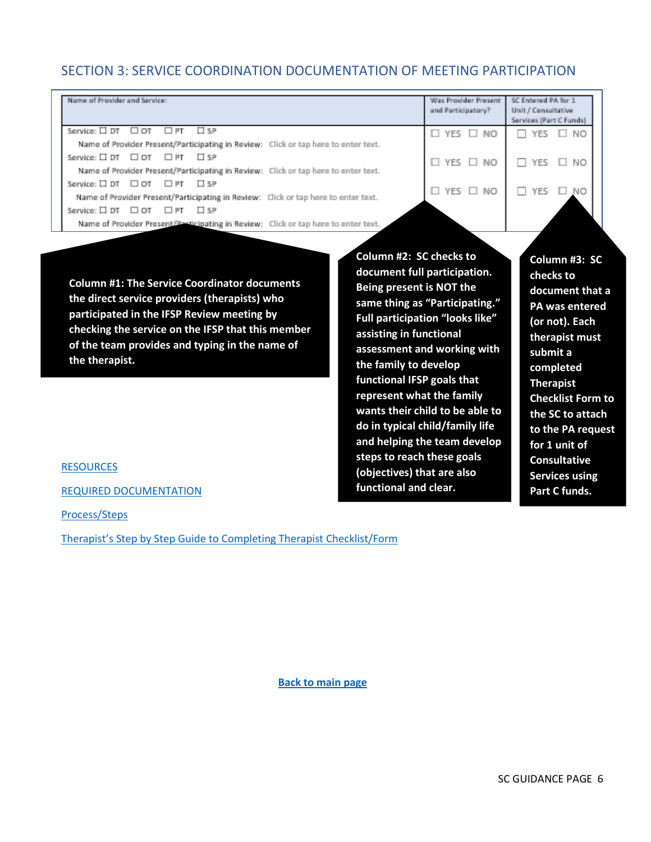## SECTION 3: SERVICE COORDINATION DOCUMENTATION OF MEETING PARTICIPATION

| Name of Provider and Service:                                                      | Was Provider Present<br>and Participatory? | SC Entered PA for:<br>Unit / Consultative<br>Services (Part C Funds) |
|------------------------------------------------------------------------------------|--------------------------------------------|----------------------------------------------------------------------|
| Service: □ DT<br>$\Box$ SP<br>⊟ от<br>$\Box$ PT                                    | $\Box$ YES $\Box$ NO                       | $\Box$ YES $\Box$ NO                                                 |
| Name of Provider Present/Participating in Review: Click or tap here to enter text. |                                            |                                                                      |
| Service: □ DT □ OT □ PT □ SP                                                       | $\Box$ YES $\Box$ NO                       | YES I NO<br>п                                                        |
| Name of Provider Present/Participating in Review: Click or tap here to enter text. |                                            |                                                                      |
| Service: $\Box$ DT $\Box$ OT $\Box$ PT $\Box$ SP                                   |                                            |                                                                      |
| Name of Provider Present/Participating in Review: Click or tap here to enter text. | $\Box$ YES $\Box$ NO                       | YES.<br>$\square$ No                                                 |
| Service: $\square$ DT $\square$ OT<br>⊟ se<br>$\Box$ PT                            |                                            |                                                                      |
| Name of Provider Present/Pasticipating in Review: Click or tap here to enter text. |                                            |                                                                      |

**Column #1: The Service Coordinator documents the direct service providers (therapists) who participated in the IFSP Review meeting by checking the service on the IFSP that this member of the team provides and typing in the name of the therapist.** 

**Column #2: SC checks to document full participation. Being present is NOT the same thing as "Participating." Full participation "looks like" assisting in functional assessment and working with the family to develop functional IFSP goals that represent what the family wants their child to be able to do in typical child/family life and helping the team develop steps to reach these goals (objectives) that are also functional and clear.**

**Column #3: SC checks to document that a PA was entered (or not). Each therapist must submit a completed Therapist Checklist Form to the SC to attach to the PA request for 1 unit of Consultative Services using Part C funds.** 

**[RESOURCES](#page-9-0)** 

[REQUIRED DOCUMENTATION](#page-2-0)

[Process/Steps](#page-1-0)

[Therapist's Step by Step Guide to Completing Therapist Checklist/Form](#page-6-0)

 **[Back to main page](#page-0-0)**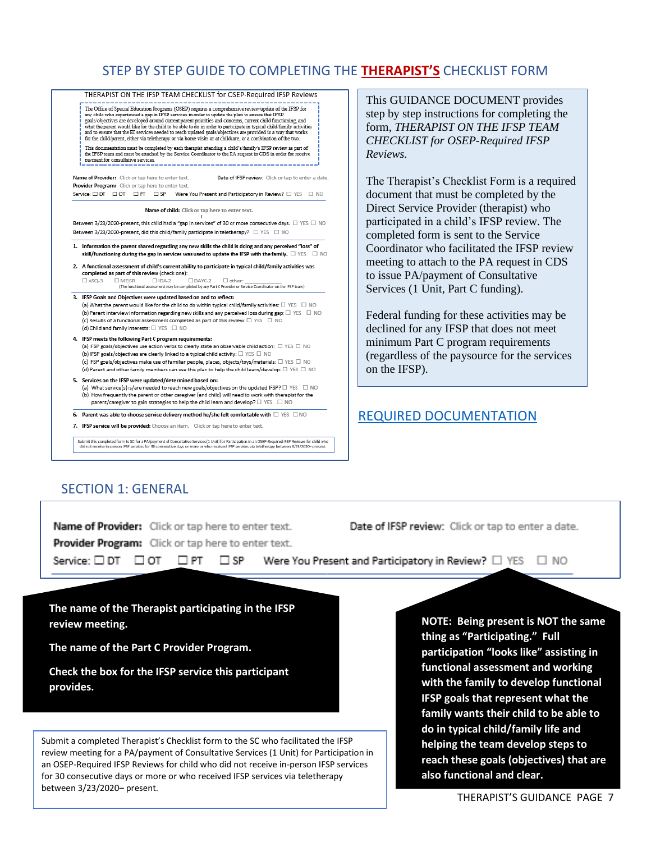## STEP BY STEP GUIDE TO COMPLETING THE **THERAPIST'S** CHECKLIST FORM



.<br>Submit this completed form to SC for a PA/payment of Consultative Services (1 Unit) for Participation in an OSEP-Required IFSP Reviews for child who<br>cid not receive in-person IFSP services for 30 consecutive days or more

 $\square$  SP  $\square$ 

<span id="page-6-0"></span>This GUIDANCE DOCUMENT provides step by step instructions for completing the form, *THERAPIST ON THE IFSP TEAM CHECKLIST for OSEP-Required IFSP Reviews.* 

The Therapist's Checklist Form is a required document that must be completed by the Direct Service Provider (therapist) who participated in a child's IFSP review. The completed form is sent to the Service Coordinator who facilitated the IFSP review meeting to attach to the PA request in CDS to issue PA/payment of Consultative Services (1 Unit, Part C funding).

Federal funding for these activities may be declined for any IFSP that does not meet minimum Part C program requirements (regardless of the paysource for the services on the IFSP).

## [REQUIRED DOCUMENTATION](#page-2-0)

### SECTION 1: GENERAL

Service:  $\square$  DT  $\square$  OT  $\square$  PT  $\square$ 

Name of Provider: Click or tap here to enter text. Provider Program: Click or tap here to enter text.

Date of IFSP review: Click or tap to enter a date.

Were You Present and Participatory in Review?  $\Box$  YES  $\Box$  NO

**The name of the Therapist participating in the IFSP review meeting.**

**The name of the Part C Provider Program.**

 $\mathbf S$  points are  $\mathbf S$  and  $\mathbf S$  are  $\mathbf S$  and  $\mathbf S$  are  $\mathbf S$  and  $\mathbf S$  are  $\mathbf S$  and  $\mathbf S$  are  $\mathbf S$  and  $\mathbf S$  are  $\mathbf S$  and  $\mathbf S$  are  $\mathbf S$  and  $\mathbf S$  are  $\mathbf S$  and  $\mathbf S$  are  $\mathbf S$  and  $\mathbf S$  are  $\mathbf S$ **Check the box for the IFSP service this participant provides.**

Submit a completed Therapist's Checklist form to the SC who facilitated the IFSP review meeting for a PA/payment of Consultative Services (1 Unit) for Participation in an OSEP-Required IFSP Reviews for child who did not receive in-person IFSP services for 30 consecutive days or more or who received IFSP services via teletherapy between 3/23/2020– present.

**NOTE: Being present is NOT the same thing as "Participating." Full participation "looks like" assisting in functional assessment and working with the family to develop functional IFSP goals that represent what the family wants their child to be able to do in typical child/family life and helping the team develop steps to reach these goals (objectives) that are also functional and clear.**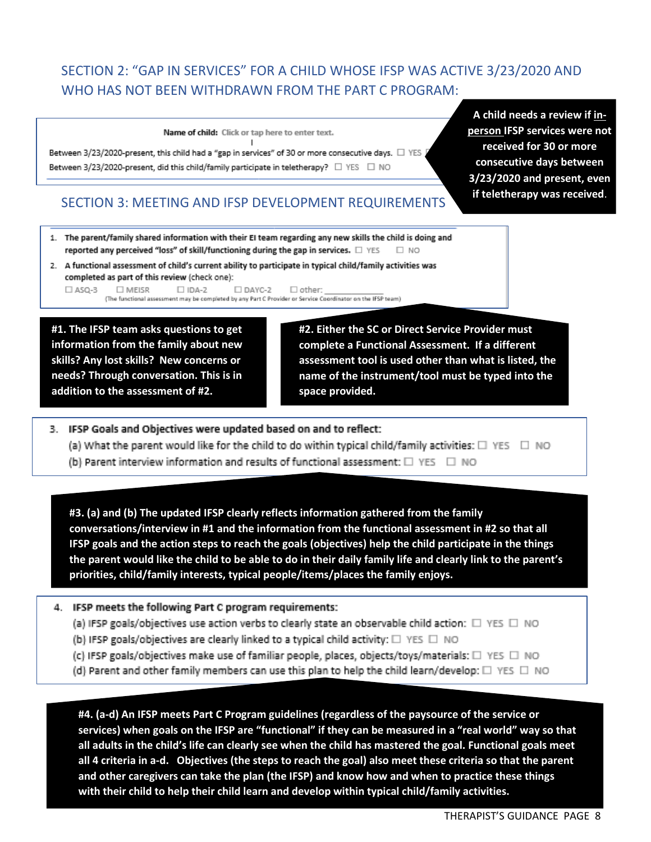# SECTION 2: "GAP IN SERVICES" FOR A CHILD WHOSE IFSP WAS ACTIVE 3/23/2020 AND WHO HAS NOT BEEN WITHDRAWN FROM THE PART C PROGRAM:

Name of child: Click or tap here to enter text.  $\mathsf{I}$ 

Between 3/23/2020-present, this child had a "gap in services" of 30 or more consecutive days.  $\Box$  YES Between 3/23/2020-present, did this child/family participate in teletherapy? □ YES □ NO

SECTION 3: MEETING AND IFSP DEVELOPMENT REQUIREMENTS

**A child needs a review if inperson IFSP services were not received for 30 or more consecutive days between 3/23/2020 and present, even if teletherapy was received**.

- 1. The parent/family shared information with their EI team regarding any new skills the child is doing and reported any perceived "loss" of skill/functioning during the gap in services.  $\Box$  YES  $\Box$  NO
- 2. A functional assessment of child's current ability to participate in typical child/family activities was completed as part of this review (check one):

 $\Box$  ASQ-3 **TIMEISR**  $\Box$  IDA-2  $\square$  DAYC-2  $\Box$  other: (The functional assessment may be completed by any Part C Provider or Service Coordinator on the IFSP team)

needs? Through conversation. This is in **#1. The IFSP team asks questions to get information from the family about new skills? Any lost skills? New concerns or addition to the assessment of #2.**

**#2. Either the SC or Direct Service Provider must complete a Functional Assessment. If a different assessment tool is used other than what is listed, the name of the instrument/tool must be typed into the space provided.**

- 3. IFSP Goals and Objectives were updated based on and to reflect: (a) What the parent would like for the child to do within typical child/family activities:  $\square$  YES  $\square$  NO
	- (b) Parent interview information and results of functional assessment: □ YES □ NO

**#3. (a) and (b) The updated IFSP clearly reflects information gathered from the family conversations/interview in #1 and the information from the functional assessment in #2 so that all IFSP goals and the action steps to reach the goals (objectives) help the child participate in the things the parent would like the child to be able to do in their daily family life and clearly link to the parent's priorities, child/family interests, typical people/items/places the family enjoys.**

- 4. IFSP meets the following Part C program requirements:
	- (a) IFSP goals/objectives use action verbs to clearly state an observable child action:  $\square$  YES  $\square$  NO
	- (b) IFSP goals/objectives are clearly linked to a typical child activity: □ YES □ NO
	- (c) IFSP goals/objectives make use of familiar people, places, objects/toys/materials: □ YES □ NO
	- (d) Parent and other family members can use this plan to help the child learn/develop:  $\square$  YES  $\square$  NO

**#4. (a-d) An IFSP meets Part C Program guidelines (regardless of the paysource of the service or services) when goals on the IFSP are "functional" if they can be measured in a "real world" way so that all adults in the child's life can clearly see when the child has mastered the goal. Functional goals meet all 4 criteria in a-d. Objectives (the steps to reach the goal) also meet these criteria so that the parent and other caregivers can take the plan (the IFSP) and know how and when to practice these things with their child to help their child learn and develop within typical child/family activities.**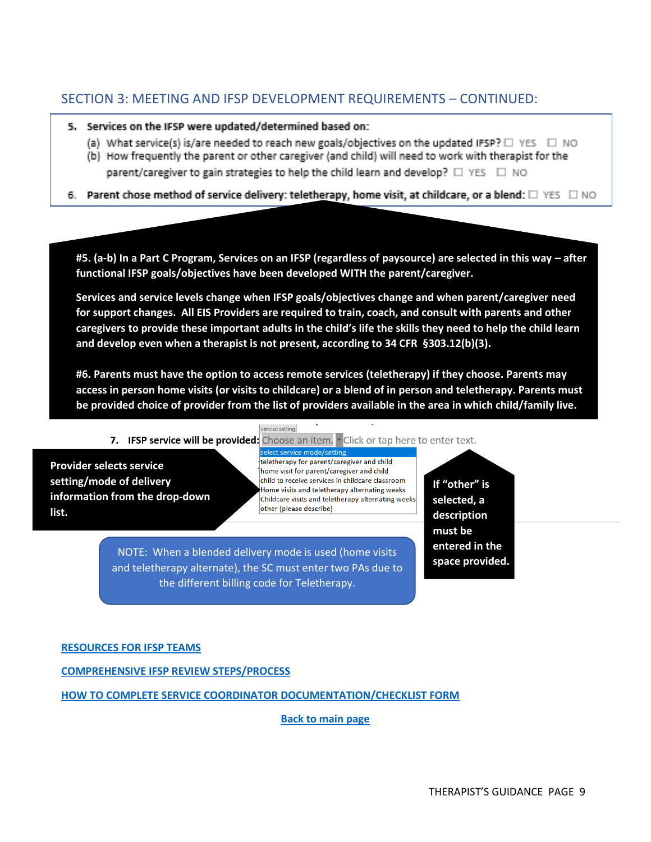## SECTION 3: MEETING AND IFSP DEVELOPMENT REQUIREMENTS – CONTINUED:

#### 5. Services on the IFSP were updated/determined based on:

- (a) What service(s) is/are needed to reach new goals/objectives on the updated IFSP?  $\square$  YES  $\square$  NO
- (b) How frequently the parent or other caregiver (and child) will need to work with therapist for the parent/caregiver to gain strategies to help the child learn and develop?  $\square$  YES  $\square$  NO
- 6. Parent chose method of service delivery: teletherapy, home visit, at childcare, or a blend:  $\square$  YES  $\square$  NO

**#5. (a-b) In a Part C Program, Services on an IFSP (regardless of paysource) are selected in this way – after functional IFSP goals/objectives have been developed WITH the parent/caregiver.** 

**Services and service levels change when IFSP goals/objectives change and when parent/caregiver need for support changes. All EIS Providers are required to train, coach, and consult with parents and other caregivers to provide these important adults in the child's life the skills they need to help the child learn and develop even when a therapist is not present, according to 34 CFR §303.12(b)(3).**

**#6. Parents must have the option to access remote services (teletherapy) if they choose. Parents may access in person home visits (or visits to childcare) or a blend of in person and teletherapy. Parents must be provided choice of provider from the list of providers available in the area in which child/family live.**

#### service setting

7. IFSP service will be provided: Choose an item.  $\overline{\phantom{a}}$  Click or tap here to enter text.

**Provider selects service setting/mode of delivery information from the drop-down list.** 

teletherapy for parent/caregiver and child home visit for parent/caregiver and child child to receive services in childcare classroom Home visits and teletherapy alternating weeks Childcare visits and teletherapy alternating weeks other (please describe)

NOTE: When a blended delivery mode is used (home visits and teletherapy alternate), the SC must enter two PAs due to the different billing code for Teletherapy.

**If "other" is selected, a description must be entered in the space provided.**

#### **[RESOURCES FOR IFSP TEAMS](#page-9-0)**

**[COMPREHENSIVE IFSP REVIEW STEPS/PROCESS](#page-1-0)**

**[HOW TO COMPLETE SERVICE COORDINATOR DOCUMENTATION/CHECKLIST FORM](#page-3-0)**

 **[Back to main page](#page-0-0)**